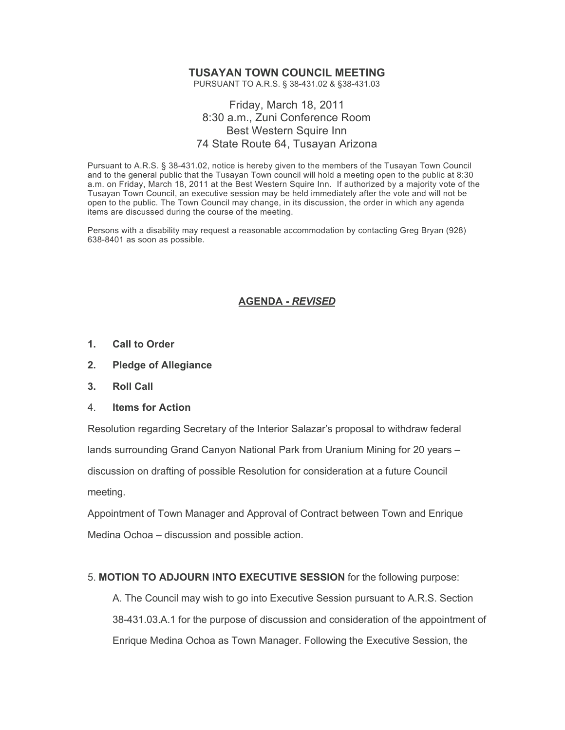# **TUSAYAN TOWN COUNCIL MEETING**

PURSUANT TO A.R.S. § 38-431.02 & §38-431.03

## Friday, March 18, 2011 8:30 a.m., Zuni Conference Room Best Western Squire Inn 74 State Route 64, Tusayan Arizona

Pursuant to A.R.S. § 38-431.02, notice is hereby given to the members of the Tusayan Town Council and to the general public that the Tusayan Town council will hold a meeting open to the public at 8:30 a.m. on Friday, March 18, 2011 at the Best Western Squire Inn. If authorized by a majority vote of the Tusayan Town Council, an executive session may be held immediately after the vote and will not be open to the public. The Town Council may change, in its discussion, the order in which any agenda items are discussed during the course of the meeting.

Persons with a disability may request a reasonable accommodation by contacting Greg Bryan (928) 638-8401 as soon as possible.

## **AGENDA -** *REVISED*

- **1. Call to Order**
- **2. Pledge of Allegiance**
- **3. Roll Call**
- 4. **Items for Action**

Resolution regarding Secretary of the Interior Salazar's proposal to withdraw federal lands surrounding Grand Canyon National Park from Uranium Mining for 20 years – discussion on drafting of possible Resolution for consideration at a future Council meeting.

Appointment of Town Manager and Approval of Contract between Town and Enrique Medina Ochoa – discussion and possible action.

#### 5. **MOTION TO ADJOURN INTO EXECUTIVE SESSION** for the following purpose:

A. The Council may wish to go into Executive Session pursuant to A.R.S. Section 38-431.03.A.1 for the purpose of discussion and consideration of the appointment of Enrique Medina Ochoa as Town Manager. Following the Executive Session, the